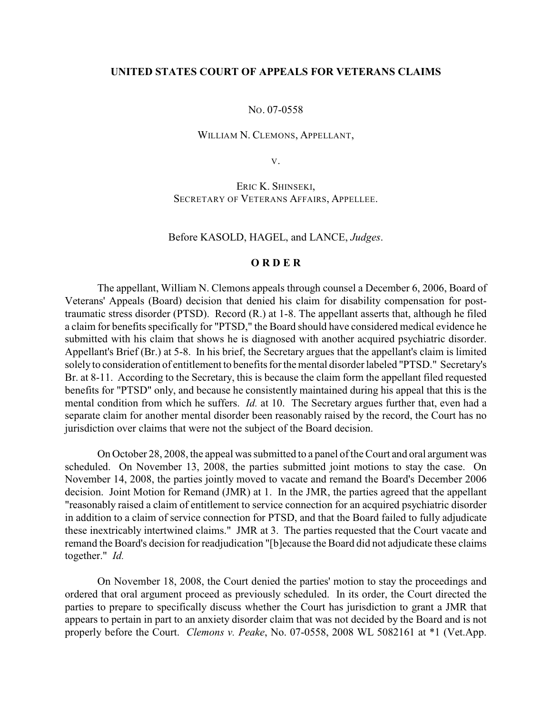## **UNITED STATES COURT OF APPEALS FOR VETERANS CLAIMS**

#### NO. 07-0558

#### WILLIAM N. CLEMONS, APPELLANT,

V.

ERIC K. SHINSEKI, SECRETARY OF VETERANS AFFAIRS, APPELLEE.

Before KASOLD, HAGEL, and LANCE, *Judges*.

# **O R D E R**

The appellant, William N. Clemons appeals through counsel a December 6, 2006, Board of Veterans' Appeals (Board) decision that denied his claim for disability compensation for posttraumatic stress disorder (PTSD). Record (R.) at 1-8. The appellant asserts that, although he filed a claim for benefits specifically for "PTSD," the Board should have considered medical evidence he submitted with his claim that shows he is diagnosed with another acquired psychiatric disorder. Appellant's Brief (Br.) at 5-8. In his brief, the Secretary argues that the appellant's claim is limited solely to consideration of entitlement to benefits for the mental disorder labeled "PTSD." Secretary's Br. at 8-11. According to the Secretary, this is because the claim form the appellant filed requested benefits for "PTSD" only, and because he consistently maintained during his appeal that this is the mental condition from which he suffers. *Id.* at 10. The Secretary argues further that, even had a separate claim for another mental disorder been reasonably raised by the record, the Court has no jurisdiction over claims that were not the subject of the Board decision.

On October 28, 2008, the appeal was submitted to a panel of the Court and oral argument was scheduled. On November 13, 2008, the parties submitted joint motions to stay the case. On November 14, 2008, the parties jointly moved to vacate and remand the Board's December 2006 decision. Joint Motion for Remand (JMR) at 1. In the JMR, the parties agreed that the appellant "reasonably raised a claim of entitlement to service connection for an acquired psychiatric disorder in addition to a claim of service connection for PTSD, and that the Board failed to fully adjudicate these inextricably intertwined claims." JMR at 3. The parties requested that the Court vacate and remand the Board's decision for readjudication "[b]ecause the Board did not adjudicate these claims together." *Id.*

On November 18, 2008, the Court denied the parties' motion to stay the proceedings and ordered that oral argument proceed as previously scheduled. In its order, the Court directed the parties to prepare to specifically discuss whether the Court has jurisdiction to grant a JMR that appears to pertain in part to an anxiety disorder claim that was not decided by the Board and is not properly before the Court. *Clemons v. Peake*, No. 07-0558, 2008 WL 5082161 at \*1 (Vet.App.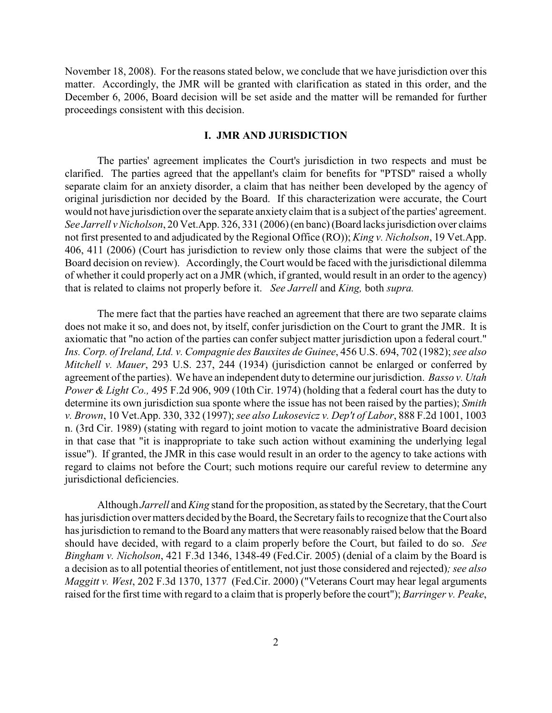November 18, 2008). For the reasons stated below, we conclude that we have jurisdiction over this matter. Accordingly, the JMR will be granted with clarification as stated in this order, and the December 6, 2006, Board decision will be set aside and the matter will be remanded for further proceedings consistent with this decision.

## **I. JMR AND JURISDICTION**

The parties' agreement implicates the Court's jurisdiction in two respects and must be clarified. The parties agreed that the appellant's claim for benefits for "PTSD" raised a wholly separate claim for an anxiety disorder, a claim that has neither been developed by the agency of original jurisdiction nor decided by the Board. If this characterization were accurate, the Court would not have jurisdiction over the separate anxiety claim that is a subject of the parties' agreement. *See Jarrell v Nicholson*, 20 Vet.App. 326, 331 (2006)(en banc) (Board lacks jurisdiction over claims not first presented to and adjudicated by the Regional Office (RO)); *King v. Nicholson*, 19 Vet.App. 406, 411 (2006) (Court has jurisdiction to review only those claims that were the subject of the Board decision on review). Accordingly, the Court would be faced with the jurisdictional dilemma of whether it could properly act on a JMR (which, if granted, would result in an order to the agency) that is related to claims not properly before it. *See Jarrell* and *King,* both *supra.* 

The mere fact that the parties have reached an agreement that there are two separate claims does not make it so, and does not, by itself, confer jurisdiction on the Court to grant the JMR. It is axiomatic that "no action of the parties can confer subject matter jurisdiction upon a federal court." *Ins. Corp. of Ireland, Ltd. v. Compagnie des Bauxites de Guinee*, 456 U.S. 694, 702 (1982); *see also Mitchell v. Mauer*, 293 U.S. 237, 244 (1934) (jurisdiction cannot be enlarged or conferred by agreement of the parties). We have an independent duty to determine our jurisdiction. *Basso v. Utah Power & Light Co.,* 495 F.2d 906, 909 (10th Cir. 1974) (holding that a federal court has the duty to determine its own jurisdiction sua sponte where the issue has not been raised by the parties); *Smith v. Brown*, 10 Vet.App. 330, 332 (1997); *see also Lukosevicz v. Dep't of Labor*, 888 F.2d 1001, 1003 n. (3rd Cir. 1989) (stating with regard to joint motion to vacate the administrative Board decision in that case that "it is inappropriate to take such action without examining the underlying legal issue"). If granted, the JMR in this case would result in an order to the agency to take actions with regard to claims not before the Court; such motions require our careful review to determine any jurisdictional deficiencies.

Although *Jarrell* and *King* stand for the proposition, as stated by the Secretary, that the Court has jurisdiction over matters decided bythe Board, the Secretary fails to recognize that the Court also has jurisdiction to remand to the Board any matters that were reasonably raised below that the Board should have decided, with regard to a claim properly before the Court, but failed to do so. *See Bingham v. Nicholson*, 421 F.3d 1346, 1348-49 (Fed.Cir. 2005) (denial of a claim by the Board is a decision as to all potential theories of entitlement, not just those considered and rejected)*; see also Maggitt v. West*, 202 F.3d 1370, 1377 (Fed.Cir. 2000) ("Veterans Court may hear legal arguments raised for the first time with regard to a claim that is properly before the court"); *Barringer v. Peake*,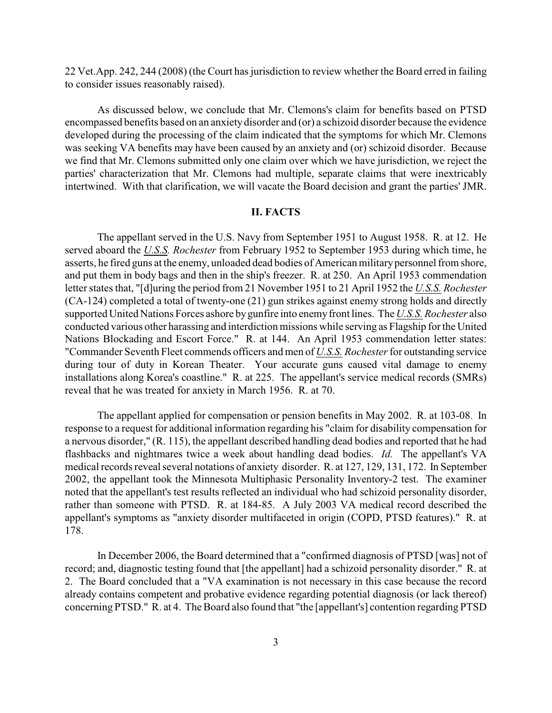22 Vet.App. 242, 244 (2008) (the Court has jurisdiction to review whether the Board erred in failing to consider issues reasonably raised).

As discussed below, we conclude that Mr. Clemons's claim for benefits based on PTSD encompassed benefits based on an anxiety disorder and (or) a schizoid disorder because the evidence developed during the processing of the claim indicated that the symptoms for which Mr. Clemons was seeking VA benefits may have been caused by an anxiety and (or) schizoid disorder. Because we find that Mr. Clemons submitted only one claim over which we have jurisdiction, we reject the parties' characterization that Mr. Clemons had multiple, separate claims that were inextricably intertwined. With that clarification, we will vacate the Board decision and grant the parties' JMR.

## **II. FACTS**

The appellant served in the U.S. Navy from September 1951 to August 1958. R. at 12. He served aboard the *U.S.S. Rochester* from February 1952 to September 1953 during which time, he asserts, he fired guns at the enemy, unloaded dead bodies of American military personnel from shore, and put them in body bags and then in the ship's freezer. R. at 250. An April 1953 commendation letter states that, "[d]uring the period from 21 November 1951 to 21 April 1952 the *U.S.S. Rochester* (CA-124) completed a total of twenty-one (21) gun strikes against enemy strong holds and directly supported United Nations Forces ashore by gunfire into enemy front lines. The *U.S.S. Rochester* also conducted various other harassing and interdiction missions while serving as Flagship for the United Nations Blockading and Escort Force." R. at 144. An April 1953 commendation letter states: "Commander Seventh Fleet commends officers and men of *U.S.S. Rochester* for outstanding service during tour of duty in Korean Theater. Your accurate guns caused vital damage to enemy installations along Korea's coastline." R. at 225. The appellant's service medical records (SMRs) reveal that he was treated for anxiety in March 1956. R. at 70.

The appellant applied for compensation or pension benefits in May 2002. R. at 103-08. In response to a request for additional information regarding his "claim for disability compensation for a nervous disorder," (R. 115), the appellant described handling dead bodies and reported that he had flashbacks and nightmares twice a week about handling dead bodies. *Id.* The appellant's VA medical records reveal several notations of anxiety disorder. R. at 127, 129, 131, 172. In September 2002, the appellant took the Minnesota Multiphasic Personality Inventory-2 test. The examiner noted that the appellant's test results reflected an individual who had schizoid personality disorder, rather than someone with PTSD. R. at 184-85. A July 2003 VA medical record described the appellant's symptoms as "anxiety disorder multifaceted in origin (COPD, PTSD features)." R. at 178.

In December 2006, the Board determined that a "confirmed diagnosis of PTSD [was] not of record; and, diagnostic testing found that [the appellant] had a schizoid personality disorder." R. at 2. The Board concluded that a "VA examination is not necessary in this case because the record already contains competent and probative evidence regarding potential diagnosis (or lack thereof) concerning PTSD." R. at 4. The Board also found that "the [appellant's] contention regarding PTSD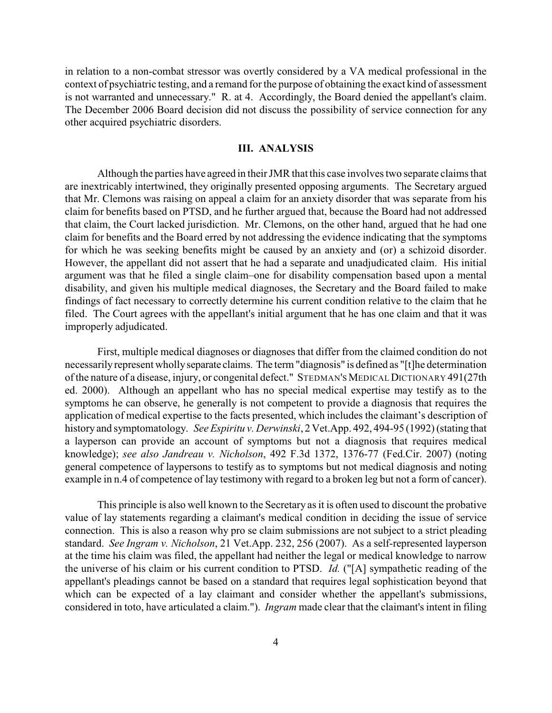in relation to a non-combat stressor was overtly considered by a VA medical professional in the context of psychiatric testing, and a remand for the purpose of obtaining the exact kind of assessment is not warranted and unnecessary." R. at 4. Accordingly, the Board denied the appellant's claim. The December 2006 Board decision did not discuss the possibility of service connection for any other acquired psychiatric disorders.

# **III. ANALYSIS**

Although the parties have agreed in their JMR that this case involves two separate claims that are inextricably intertwined, they originally presented opposing arguments. The Secretary argued that Mr. Clemons was raising on appeal a claim for an anxiety disorder that was separate from his claim for benefits based on PTSD, and he further argued that, because the Board had not addressed that claim, the Court lacked jurisdiction. Mr. Clemons, on the other hand, argued that he had one claim for benefits and the Board erred by not addressing the evidence indicating that the symptoms for which he was seeking benefits might be caused by an anxiety and (or) a schizoid disorder. However, the appellant did not assert that he had a separate and unadjudicated claim. His initial argument was that he filed a single claim–one for disability compensation based upon a mental disability, and given his multiple medical diagnoses, the Secretary and the Board failed to make findings of fact necessary to correctly determine his current condition relative to the claim that he filed. The Court agrees with the appellant's initial argument that he has one claim and that it was improperly adjudicated.

First, multiple medical diagnoses or diagnoses that differ from the claimed condition do not necessarily represent wholly separate claims. The term "diagnosis" is defined as "[t]he determination of the nature of a disease, injury, or congenital defect." STEDMAN'S MEDICAL DICTIONARY 491(27th ed. 2000). Although an appellant who has no special medical expertise may testify as to the symptoms he can observe, he generally is not competent to provide a diagnosis that requires the application of medical expertise to the facts presented, which includes the claimant's description of history and symptomatology. *See Espiritu v. Derwinski*, 2 Vet.App. 492, 494-95 (1992) (stating that a layperson can provide an account of symptoms but not a diagnosis that requires medical knowledge); *see also Jandreau v. Nicholson*, 492 F.3d 1372, 1376-77 (Fed.Cir. 2007) (noting general competence of laypersons to testify as to symptoms but not medical diagnosis and noting example in n.4 of competence of lay testimony with regard to a broken leg but not a form of cancer).

This principle is also well known to the Secretary as it is often used to discount the probative value of lay statements regarding a claimant's medical condition in deciding the issue of service connection. This is also a reason why pro se claim submissions are not subject to a strict pleading standard. *See Ingram v. Nicholson*, 21 Vet.App. 232, 256 (2007). As a self-represented layperson at the time his claim was filed, the appellant had neither the legal or medical knowledge to narrow the universe of his claim or his current condition to PTSD. *Id.* ("[A] sympathetic reading of the appellant's pleadings cannot be based on a standard that requires legal sophistication beyond that which can be expected of a lay claimant and consider whether the appellant's submissions, considered in toto, have articulated a claim."). *Ingram* made clear that the claimant's intent in filing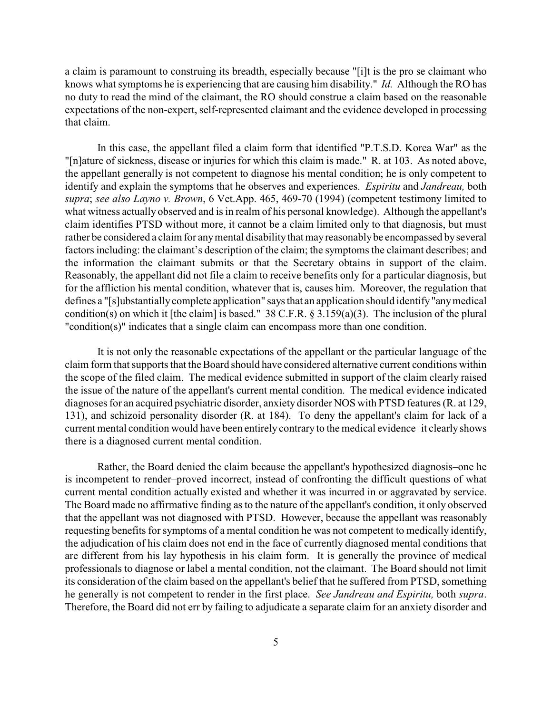a claim is paramount to construing its breadth, especially because "[i]t is the pro se claimant who knows what symptoms he is experiencing that are causing him disability." *Id.* Although the RO has no duty to read the mind of the claimant, the RO should construe a claim based on the reasonable expectations of the non-expert, self-represented claimant and the evidence developed in processing that claim.

In this case, the appellant filed a claim form that identified "P.T.S.D. Korea War" as the "[n]ature of sickness, disease or injuries for which this claim is made." R. at 103. As noted above, the appellant generally is not competent to diagnose his mental condition; he is only competent to identify and explain the symptoms that he observes and experiences. *Espiritu* and *Jandreau,* both *supra*; *see also Layno v. Brown*, 6 Vet.App. 465, 469-70 (1994) (competent testimony limited to what witness actually observed and is in realm of his personal knowledge). Although the appellant's claim identifies PTSD without more, it cannot be a claim limited only to that diagnosis, but must rather be considered a claim for any mental disability that may reasonably be encompassed by several factors including: the claimant's description of the claim; the symptoms the claimant describes; and the information the claimant submits or that the Secretary obtains in support of the claim. Reasonably, the appellant did not file a claim to receive benefits only for a particular diagnosis, but for the affliction his mental condition, whatever that is, causes him. Moreover, the regulation that defines a "[s]ubstantially complete application" says that an application should identify "any medical condition(s) on which it [the claim] is based." 38 C.F.R. § 3.159(a)(3). The inclusion of the plural "condition(s)" indicates that a single claim can encompass more than one condition.

It is not only the reasonable expectations of the appellant or the particular language of the claim form that supports that the Board should have considered alternative current conditions within the scope of the filed claim. The medical evidence submitted in support of the claim clearly raised the issue of the nature of the appellant's current mental condition. The medical evidence indicated diagnoses for an acquired psychiatric disorder, anxiety disorder NOS with PTSD features (R. at 129, 131), and schizoid personality disorder (R. at 184). To deny the appellant's claim for lack of a current mental condition would have been entirely contrary to the medical evidence–it clearly shows there is a diagnosed current mental condition.

Rather, the Board denied the claim because the appellant's hypothesized diagnosis–one he is incompetent to render–proved incorrect, instead of confronting the difficult questions of what current mental condition actually existed and whether it was incurred in or aggravated by service. The Board made no affirmative finding as to the nature of the appellant's condition, it only observed that the appellant was not diagnosed with PTSD. However, because the appellant was reasonably requesting benefits for symptoms of a mental condition he was not competent to medically identify, the adjudication of his claim does not end in the face of currently diagnosed mental conditions that are different from his lay hypothesis in his claim form. It is generally the province of medical professionals to diagnose or label a mental condition, not the claimant. The Board should not limit its consideration of the claim based on the appellant's belief that he suffered from PTSD, something he generally is not competent to render in the first place. *See Jandreau and Espiritu,* both *supra*. Therefore, the Board did not err by failing to adjudicate a separate claim for an anxiety disorder and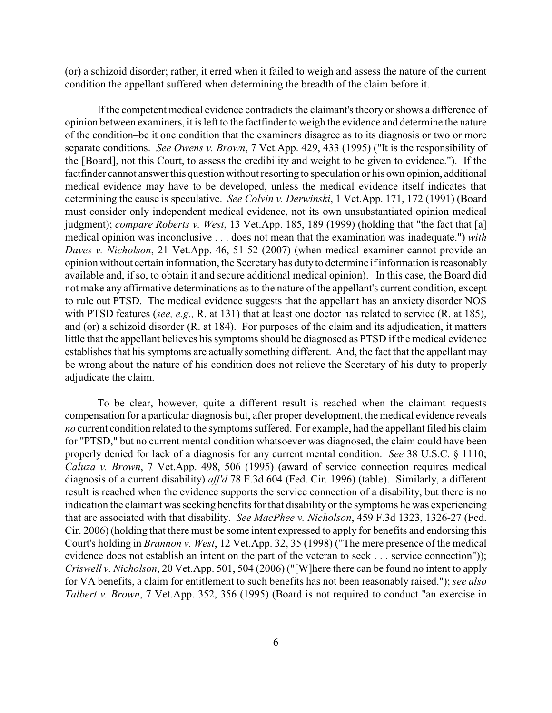(or) a schizoid disorder; rather, it erred when it failed to weigh and assess the nature of the current condition the appellant suffered when determining the breadth of the claim before it.

If the competent medical evidence contradicts the claimant's theory or shows a difference of opinion between examiners, it is left to the factfinder to weigh the evidence and determine the nature of the condition–be it one condition that the examiners disagree as to its diagnosis or two or more separate conditions. *See Owens v. Brown*, 7 Vet.App. 429, 433 (1995) ("It is the responsibility of the [Board], not this Court, to assess the credibility and weight to be given to evidence."). If the factfinder cannot answer this question without resorting to speculation or his own opinion, additional medical evidence may have to be developed, unless the medical evidence itself indicates that determining the cause is speculative. *See Colvin v. Derwinski*, 1 Vet.App. 171, 172 (1991) (Board must consider only independent medical evidence, not its own unsubstantiated opinion medical judgment); *compare Roberts v. West*, 13 Vet.App. 185, 189 (1999) (holding that "the fact that [a] medical opinion was inconclusive . . . does not mean that the examination was inadequate.") *with Daves v. Nicholson*, 21 Vet.App. 46, 51-52 (2007) (when medical examiner cannot provide an opinion without certain information, the Secretary has duty to determine if information is reasonably available and, if so, to obtain it and secure additional medical opinion). In this case, the Board did not make any affirmative determinations as to the nature of the appellant's current condition, except to rule out PTSD. The medical evidence suggests that the appellant has an anxiety disorder NOS with PTSD features (*see, e.g.,* R. at 131) that at least one doctor has related to service (R. at 185), and (or) a schizoid disorder (R. at 184). For purposes of the claim and its adjudication, it matters little that the appellant believes his symptoms should be diagnosed as PTSD if the medical evidence establishes that his symptoms are actually something different. And, the fact that the appellant may be wrong about the nature of his condition does not relieve the Secretary of his duty to properly adjudicate the claim.

To be clear, however, quite a different result is reached when the claimant requests compensation for a particular diagnosis but, after proper development, the medical evidence reveals *no* current condition related to the symptoms suffered. For example, had the appellant filed his claim for "PTSD," but no current mental condition whatsoever was diagnosed, the claim could have been properly denied for lack of a diagnosis for any current mental condition. *See* 38 U.S.C. § 1110; *Caluza v. Brown*, 7 Vet.App. 498, 506 (1995) (award of service connection requires medical diagnosis of a current disability) *aff'd* 78 F.3d 604 (Fed. Cir. 1996) (table). Similarly, a different result is reached when the evidence supports the service connection of a disability, but there is no indication the claimant was seeking benefits forthat disability or the symptoms he was experiencing that are associated with that disability. *See MacPhee v. Nicholson*, 459 F.3d 1323, 1326-27 (Fed. Cir. 2006) (holding that there must be some intent expressed to apply for benefits and endorsing this Court's holding in *Brannon v. West*, 12 Vet.App. 32, 35 (1998) ("The mere presence of the medical evidence does not establish an intent on the part of the veteran to seek . . . service connection")); *Criswell v. Nicholson*, 20 Vet.App. 501, 504 (2006) ("[W]here there can be found no intent to apply for VA benefits, a claim for entitlement to such benefits has not been reasonably raised."); *see also Talbert v. Brown*, 7 Vet.App. 352, 356 (1995) (Board is not required to conduct "an exercise in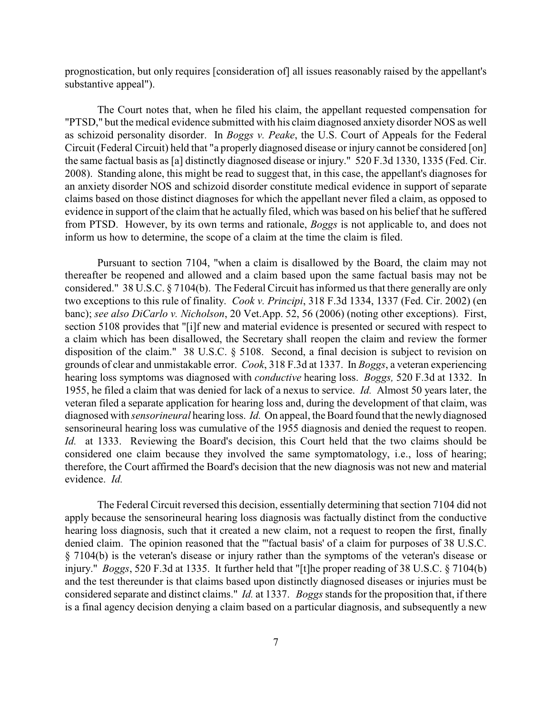prognostication, but only requires [consideration of] all issues reasonably raised by the appellant's substantive appeal").

The Court notes that, when he filed his claim, the appellant requested compensation for "PTSD," but the medical evidence submitted with his claim diagnosed anxiety disorder NOS as well as schizoid personality disorder. In *Boggs v. Peake*, the U.S. Court of Appeals for the Federal Circuit (Federal Circuit) held that "a properly diagnosed disease or injury cannot be considered [on] the same factual basis as [a] distinctly diagnosed disease or injury." 520 F.3d 1330, 1335 (Fed. Cir. 2008). Standing alone, this might be read to suggest that, in this case, the appellant's diagnoses for an anxiety disorder NOS and schizoid disorder constitute medical evidence in support of separate claims based on those distinct diagnoses for which the appellant never filed a claim, as opposed to evidence in support of the claim that he actually filed, which was based on his belief that he suffered from PTSD. However, by its own terms and rationale, *Boggs* is not applicable to, and does not inform us how to determine, the scope of a claim at the time the claim is filed.

Pursuant to section 7104, "when a claim is disallowed by the Board, the claim may not thereafter be reopened and allowed and a claim based upon the same factual basis may not be considered." 38 U.S.C. § 7104(b). The Federal Circuit has informed usthat there generally are only two exceptions to this rule of finality. *Cook v. Principi*, 318 F.3d 1334, 1337 (Fed. Cir. 2002) (en banc); *see also DiCarlo v. Nicholson*, 20 Vet.App. 52, 56 (2006) (noting other exceptions). First, section 5108 provides that "[i]f new and material evidence is presented or secured with respect to a claim which has been disallowed, the Secretary shall reopen the claim and review the former disposition of the claim." 38 U.S.C. § 5108. Second, a final decision is subject to revision on grounds of clear and unmistakable error. *Cook*, 318 F.3d at 1337. In *Boggs*, a veteran experiencing hearing loss symptoms was diagnosed with *conductive* hearing loss. *Boggs,* 520 F.3d at 1332. In 1955, he filed a claim that was denied for lack of a nexus to service. *Id.* Almost 50 years later, the veteran filed a separate application for hearing loss and, during the development of that claim, was diagnosed with *sensorineural* hearing loss. *Id.* On appeal, the Board found that the newly diagnosed sensorineural hearing loss was cumulative of the 1955 diagnosis and denied the request to reopen. *Id.* at 1333. Reviewing the Board's decision, this Court held that the two claims should be considered one claim because they involved the same symptomatology, i.e., loss of hearing; therefore, the Court affirmed the Board's decision that the new diagnosis was not new and material evidence. *Id.*

The Federal Circuit reversed this decision, essentially determining that section 7104 did not apply because the sensorineural hearing loss diagnosis was factually distinct from the conductive hearing loss diagnosis, such that it created a new claim, not a request to reopen the first, finally denied claim. The opinion reasoned that the "'factual basis' of a claim for purposes of 38 U.S.C. § 7104(b) is the veteran's disease or injury rather than the symptoms of the veteran's disease or injury." *Boggs*, 520 F.3d at 1335. It further held that "[t]he proper reading of 38 U.S.C. § 7104(b) and the test thereunder is that claims based upon distinctly diagnosed diseases or injuries must be considered separate and distinct claims." *Id.* at 1337. *Boggs* stands for the proposition that, if there is a final agency decision denying a claim based on a particular diagnosis, and subsequently a new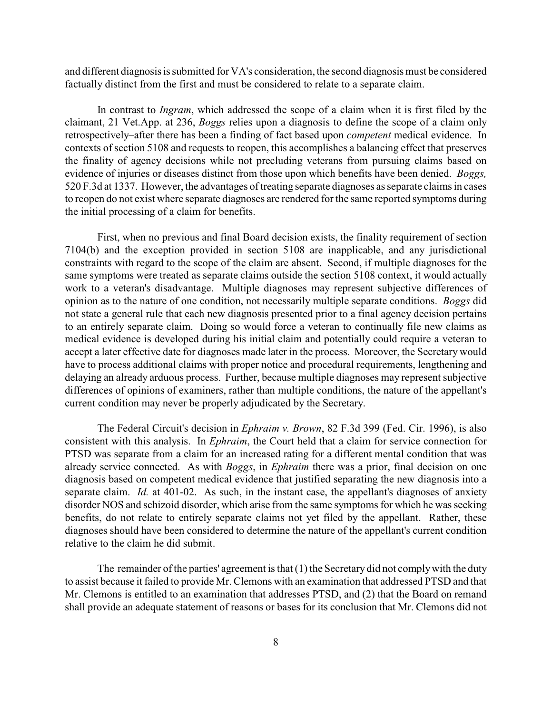and different diagnosis is submitted for VA's consideration, the second diagnosis must be considered factually distinct from the first and must be considered to relate to a separate claim.

In contrast to *Ingram*, which addressed the scope of a claim when it is first filed by the claimant, 21 Vet.App. at 236, *Boggs* relies upon a diagnosis to define the scope of a claim only retrospectively–after there has been a finding of fact based upon *competent* medical evidence. In contexts of section 5108 and requests to reopen, this accomplishes a balancing effect that preserves the finality of agency decisions while not precluding veterans from pursuing claims based on evidence of injuries or diseases distinct from those upon which benefits have been denied. *Boggs,* 520 F.3d at 1337. However, the advantages of treating separate diagnoses as separate claims in cases to reopen do not exist where separate diagnoses are rendered for the same reported symptoms during the initial processing of a claim for benefits.

First, when no previous and final Board decision exists, the finality requirement of section 7104(b) and the exception provided in section 5108 are inapplicable, and any jurisdictional constraints with regard to the scope of the claim are absent. Second, if multiple diagnoses for the same symptoms were treated as separate claims outside the section 5108 context, it would actually work to a veteran's disadvantage. Multiple diagnoses may represent subjective differences of opinion as to the nature of one condition, not necessarily multiple separate conditions. *Boggs* did not state a general rule that each new diagnosis presented prior to a final agency decision pertains to an entirely separate claim. Doing so would force a veteran to continually file new claims as medical evidence is developed during his initial claim and potentially could require a veteran to accept a later effective date for diagnoses made later in the process. Moreover, the Secretary would have to process additional claims with proper notice and procedural requirements, lengthening and delaying an already arduous process. Further, because multiple diagnoses may represent subjective differences of opinions of examiners, rather than multiple conditions, the nature of the appellant's current condition may never be properly adjudicated by the Secretary.

The Federal Circuit's decision in *Ephraim v. Brown*, 82 F.3d 399 (Fed. Cir. 1996), is also consistent with this analysis. In *Ephraim*, the Court held that a claim for service connection for PTSD was separate from a claim for an increased rating for a different mental condition that was already service connected. As with *Boggs*, in *Ephraim* there was a prior, final decision on one diagnosis based on competent medical evidence that justified separating the new diagnosis into a separate claim. *Id.* at 401-02. As such, in the instant case, the appellant's diagnoses of anxiety disorder NOS and schizoid disorder, which arise from the same symptoms for which he was seeking benefits, do not relate to entirely separate claims not yet filed by the appellant. Rather, these diagnoses should have been considered to determine the nature of the appellant's current condition relative to the claim he did submit.

The remainder of the parties' agreement is that  $(1)$  the Secretary did not comply with the duty to assist because it failed to provide Mr. Clemons with an examination that addressed PTSD and that Mr. Clemons is entitled to an examination that addresses PTSD, and (2) that the Board on remand shall provide an adequate statement of reasons or bases for its conclusion that Mr. Clemons did not